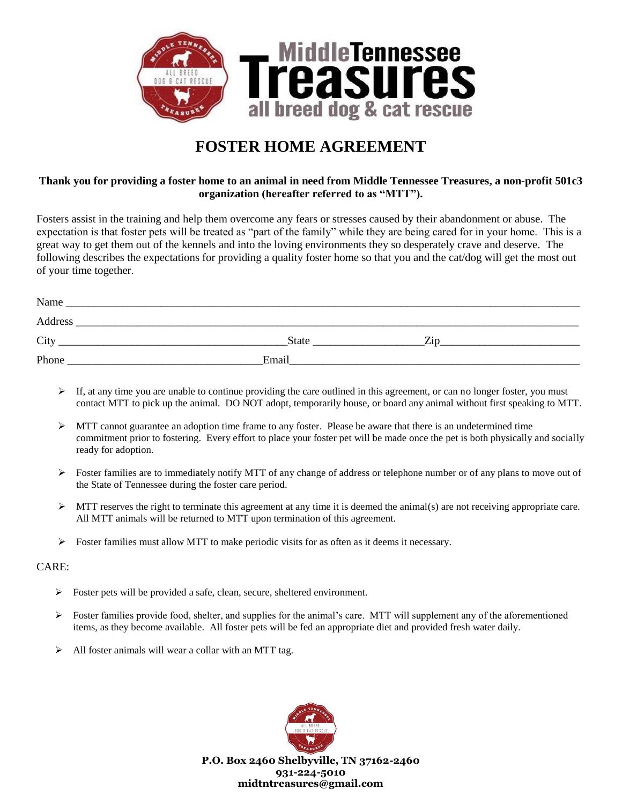

# **FOSTER HOME AGREEMENT**

## **Thank you for providing a foster home to an animal in need from Middle Tennessee Treasures, a non-profit 501c3 organization (hereafter referred to as "MTT").**

Fosters assist in the training and help them overcome any fears or stresses caused by their abandonment or abuse. The expectation is that foster pets will be treated as "part of the family" while they are being cared for in your home. This is a great way to get them out of the kennels and into the loving environments they so desperately crave and deserve. The following describes the expectations for providing a quality foster home so that you and the cat/dog will get the most out of your time together.

| Name    |              |            |  |
|---------|--------------|------------|--|
| Address |              |            |  |
| City    | <b>State</b> | <b>Zip</b> |  |
| Phone   | Email        |            |  |

- $\triangleright$  If, at any time you are unable to continue providing the care outlined in this agreement, or can no longer foster, you must contact MTT to pick up the animal. DO NOT adopt, temporarily house, or board any animal without first speaking to MTT.
- $\triangleright$  MTT cannot guarantee an adoption time frame to any foster. Please be aware that there is an undetermined time commitment prior to fostering. Every effort to place your foster pet will be made once the pet is both physically and socially ready for adoption.
- $\triangleright$  Foster families are to immediately notify MTT of any change of address or telephone number or of any plans to move out of the State of Tennessee during the foster care period.
- $\triangleright$  MTT reserves the right to terminate this agreement at any time it is deemed the animal(s) are not receiving appropriate care. All MTT animals will be returned to MTT upon termination of this agreement.
- $\triangleright$  Foster families must allow MTT to make periodic visits for as often as it deems it necessary.

### CARE:

- $\triangleright$  Foster pets will be provided a safe, clean, secure, sheltered environment.
- $\triangleright$  Foster families provide food, shelter, and supplies for the animal's care. MTT will supplement any of the aforementioned items, as they become available. All foster pets will be fed an appropriate diet and provided fresh water daily.
- $\triangleright$  All foster animals will wear a collar with an MTT tag.



**P.O. Box 2460 Shelbyville, TN 37162-2460 931-224-5010 midtntreasures@gmail.com**